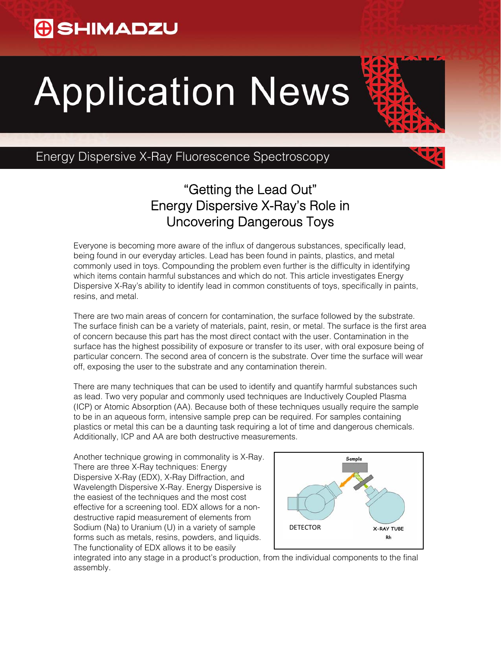## **G** SHIMADZU

# **Application News**



## "Getting the Lead Out" Energy Dispersive X-Ray's Role in Uncovering Dangerous Toys

Everyone is becoming more aware of the influx of dangerous substances, specifically lead, being found in our everyday articles. Lead has been found in paints, plastics, and metal commonly used in toys. Compounding the problem even further is the difficulty in identifying which items contain harmful substances and which do not. This article investigates Energy Dispersive X-Ray's ability to identify lead in common constituents of toys, specifically in paints, resins, and metal.

There are two main areas of concern for contamination, the surface followed by the substrate. The surface finish can be a variety of materials, paint, resin, or metal. The surface is the first area of concern because this part has the most direct contact with the user. Contamination in the surface has the highest possibility of exposure or transfer to its user, with oral exposure being of particular concern. The second area of concern is the substrate. Over time the surface will wear off, exposing the user to the substrate and any contamination therein.

There are many techniques that can be used to identify and quantify harmful substances such as lead. Two very popular and commonly used techniques are Inductively Coupled Plasma (ICP) or Atomic Absorption (AA). Because both of these techniques usually require the sample to be in an aqueous form, intensive sample prep can be required. For samples containing plastics or metal this can be a daunting task requiring a lot of time and dangerous chemicals. Additionally, ICP and AA are both destructive measurements.

Another technique growing in commonality is X-Ray. There are three X-Ray techniques: Energy Dispersive X-Ray (EDX), X-Ray Diffraction, and Wavelength Dispersive X-Ray. Energy Dispersive is the easiest of the techniques and the most cost effective for a screening tool. EDX allows for a nondestructive rapid measurement of elements from Sodium (Na) to Uranium (U) in a variety of sample forms such as metals, resins, powders, and liquids. The functionality of EDX allows it to be easily



integrated into any stage in a product's production, from the individual components to the final assembly.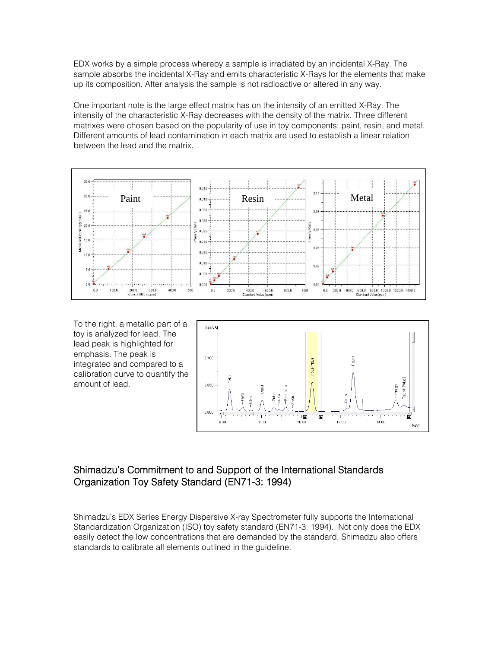EDX works by a simple process whereby a sample is irradiated by an incidental X-Ray. The sample absorbs the incidental X-Ray and emits characteristic X-Rays for the elements that make up its composition. After analysis the sample is not radioactive or altered in any way.

One important note is the large effect matrix has on the intensity of an emitted X-Ray. The intensity of the characteristic X-Ray decreases with the density of the matrix. Three different matrixes were chosen based on the popularity of use in toy components: paint, resin, and metal. Different amounts of lead contamination in each matrix are used to establish a linear relation between the lead and the matrix.



To the right, a metallic part of a toy is analyzed for lead. The lead peak is highlighted for emphasis. The peak is integrated and compared to a calibration curve to quantify the amount of lead.



### Shimadzu's Commitment to and Support of the International Standards Organization Toy Safety Standard (EN71-3: 1994)

Shimadzu's EDX Series Energy Dispersive X-ray Spectrometer fully supports the International Standardization Organization (ISO) toy safety standard (EN71-3: 1994). Not only does the EDX easily detect the low concentrations that are demanded by the standard, Shimadzu also offers standards to calibrate all elements outlined in the guideline.